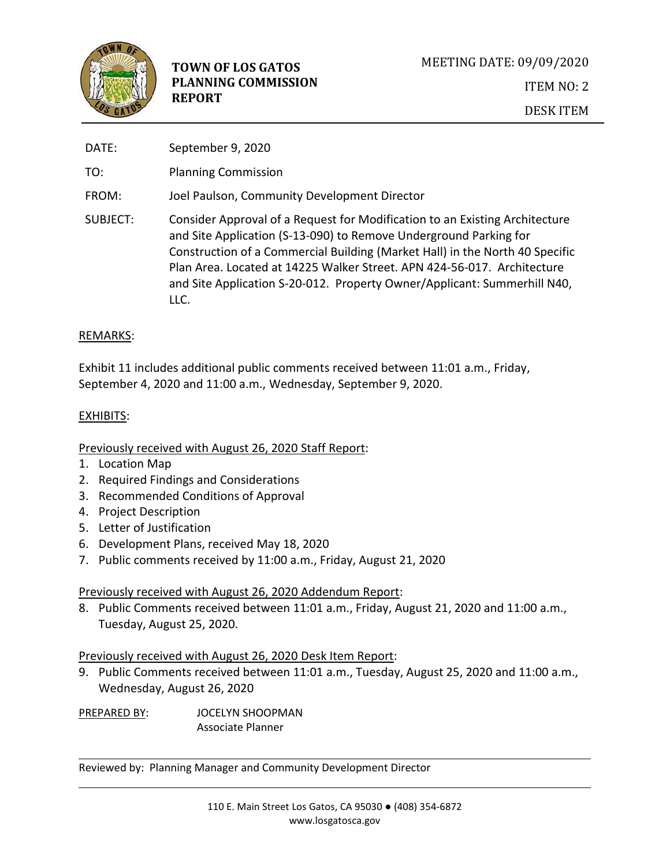

| DATE:    | September 9, 2020                                                                                                                                                                                                                                                                                                                                                                               |
|----------|-------------------------------------------------------------------------------------------------------------------------------------------------------------------------------------------------------------------------------------------------------------------------------------------------------------------------------------------------------------------------------------------------|
| TO:      | <b>Planning Commission</b>                                                                                                                                                                                                                                                                                                                                                                      |
| FROM:    | Joel Paulson, Community Development Director                                                                                                                                                                                                                                                                                                                                                    |
| SUBJECT: | Consider Approval of a Request for Modification to an Existing Architecture<br>and Site Application (S-13-090) to Remove Underground Parking for<br>Construction of a Commercial Building (Market Hall) in the North 40 Specific<br>Plan Area. Located at 14225 Walker Street. APN 424-56-017. Architecture<br>and Site Application S-20-012. Property Owner/Applicant: Summerhill N40,<br>LLC. |

### REMARKS:

Exhibit 11 includes additional public comments received between 11:01 a.m., Friday, September 4, 2020 and 11:00 a.m., Wednesday, September 9, 2020.

# EXHIBITS:

# Previously received with August 26, 2020 Staff Report:

- 1. Location Map
- 2. Required Findings and Considerations
- 3. Recommended Conditions of Approval
- 4. Project Description
- 5. Letter of Justification
- 6. Development Plans, received May 18, 2020
- 7. Public comments received by 11:00 a.m., Friday, August 21, 2020

# Previously received with August 26, 2020 Addendum Report:

8. Public Comments received between 11:01 a.m., Friday, August 21, 2020 and 11:00 a.m., Tuesday, August 25, 2020.

### Previously received with August 26, 2020 Desk Item Report:

9. Public Comments received between 11:01 a.m., Tuesday, August 25, 2020 and 11:00 a.m., Wednesday, August 26, 2020

PREPARED BY: JOCELYN SHOOPMAN Associate Planner

Reviewed by: Planning Manager and Community Development Director